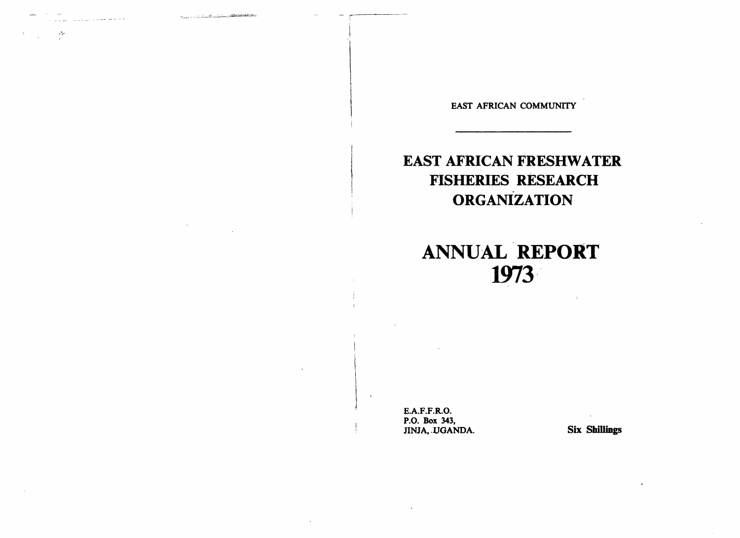The control of the control of the control of the control of the control of the control of the control of the control of the control of the control of the control of the control of the control of the control of the control

 $\sim$ 

EAST AFRICAN COMMUNITY

# EAST AFRICAN FRESHWATER FISHERIES RESEARCH **ORGANIZATION**

# ANNUAL REPORT 1973"

E.A.F.F.R.O. P.O. Box 343, JINJA, .UGANDA. Six Shillings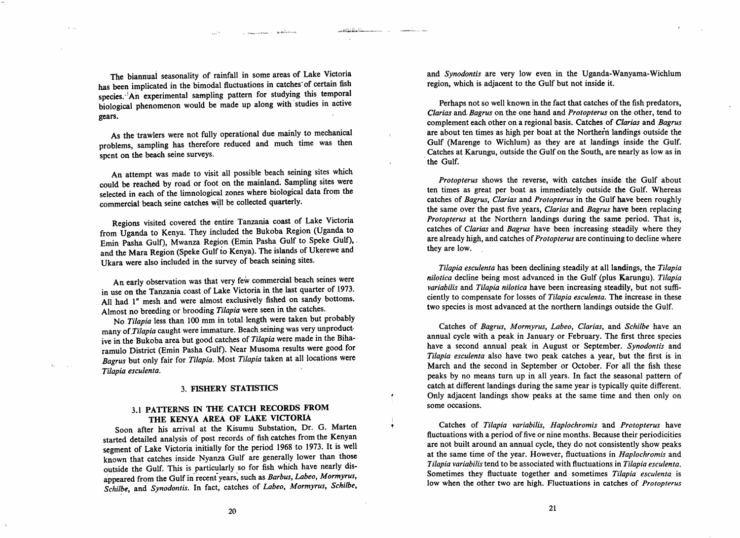The biannual seasonality of rainfall in some areas of Lake Victoria has been implicated in the bimodal fluctuations in catches of certain fish species. ·!An experimental sampling pattern for studying this temporal biological phenomenon would be made up along with'studies in active gears.

and the common second service of the service of the service of the service of the service of the service of the

حناك والتشافه وم

As the trawlers were not fully operational due mainly to mechanical problems, sampling has therefore reduced and much time was then spent on the beach seine surveys.

An attempt was made to visit all possible beach seining sites which could be reached by road or foot on the mainland. Sampling sites were selected in each of the limnological zones where biological data from the commercial beach seine catches will be collected quarterly.

Regions visited covered the entire Tanzania coast of Lake Victoria from Uganda to Kenya. They included the Bukoba Region (Uganda to Emin Pasha Gulf), Mwanza Region (Emin Pasha Gulf to Speke Gulf),. and the Mara Region (Speke Gulf to Kenya). The islands of Ukerewe and Ukara were also included in the survey of beach seining sites. .

An early observation was that very few commercial beach seines were in use on the Tanzania coast of Lake Victoria in the last quarter of 1973. All had 1" mesh and were almost exclusively fished on sandy bottoms. Almost no breeding or brooding *Tilapia* were seen in the catches.

No *Tilapia* less than 100 mm in total length were taken but probably many *of.Tilapia* caught were immature. Beach seining was very unproduct" ive in the Bukoba area but good catches of *Tilapia* were made in the Biharamulo District (Emin Pasha Gulf). Near Musoma results were good for *Bagrus* but only fair for *Tilapia.* Most *Tilapia* taken at all locations were *Tilapia escu/enta.* 

#### 3. FISHERY STATISTICS

## 3.1 PATTERNS IN THE CATCH RECORDS FROM THE KENYA AREA OF LAKE VICTORIA

Soon after his arrival at the Kisumu Substation, Dr. G. Marten started detailed analysis of post records of fish catches from the Kenyan segment of Lake Victoria initially for the period 1968 to 1973. It is well known that catches inside Nyanza Gulf are generally lower than those outside the Gulf. This is particularly so for fish which have nearly disappeared from the Gulf in recent years, such as *Barbus, Labeo, Mormyrus,* Schilbe, and *Synodontis*. In fact, catches of *Labeo, Mormyrus, Schilbe,* 

and *Synodontis* are very low even in the Uganda-Wanyama-Wichlum region, which is adjacent to the Gulf but not inside it.

Perhaps not so well known in the fact that catches of the fish predators, *Clarias* and. *Bagrus* on the one·hand and *Protopterus* on the other, tend t9 complement each other on a regional basis. Catches of *Clarias* and *Bagrus*  are about ten times as high per boat at the Northern landings outside the Gulf (Marenge to Wichlum) as they are at landings inside the Gulf. Catches at Karungu, outside the Gulf on the South, are nearly as low as in the Gulf.

*Protopterus* shows the reverse, with catches inside the Gulf about ten times as great per boat as immediately outside the Gulf. Whereas catches of *Bagrus, Clarias* and *Protopterus* in the Gulf have been roughly the same over the past five years, *Clarias* and *Bagrus* have been replacing *Protopterus* at the Northern landings during the same period. That is, catches of *Clarias* and *Bagrus* have been increasing steadily where they are already high, and catches of*Protopterus* are continuing to decline where they are low.

*Tilapia esculenta* has been declining steadily at all landings, the *Tilapia nilotica* decline being most advanced in the Gulf (plus Karungu). *Tilapia variabilis* and *Tilapia nilotica* have been increasing steadily, but not sufficiently to compensate for losses of *Tilapia esculenta.* The increase in these two species is most advanced at the northern landings outside the Gulf.

Catches of *Bagrus, Mormyrus, Labeo, Clarias,* and *Schilbe* have an annual cycle with a peak in January or February. The first three species have a second annual peak in August or September. *Synodontis* and *Tilapia esculenta* also have two peak catches a year, but the first is in March and the second in September or October. For all the fish these peaks by no means turn up in all years. In fact the seasonal pattern of catch at different landings during the same year is typically quite different. Only adjacent landings show peaks at the same time and then only on some occasions.

Catches of *Tilapia variabilis, Haplochromis* and *Protopterus* have fluctuations with a period of five or nine months. Because their periodicities are not built around an annual cycle, they do not consistently show peaks at the same time of the year. However, fluctuations in *Haplochromis* and *Tilapia variabilis* tend to be associated with fluctuations in *Tilapia esculenta.*  Sometimes they fluctuate together and sometimes *Tilapia esculenta.* is low when the other two are high. Fluctuations in catches of *Protopterus*